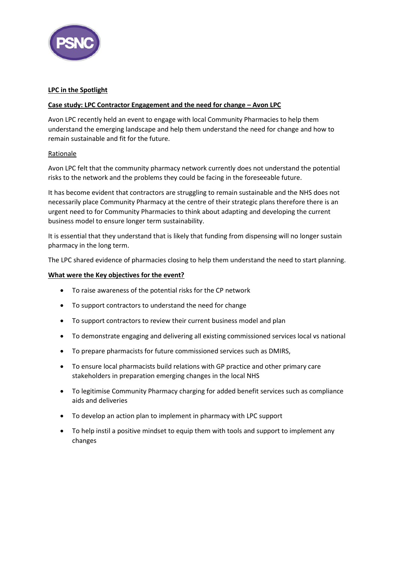

## **LPC in the Spotlight**

### **Case study: LPC Contractor Engagement and the need for change - Avon LPC**

Avon LPC recently held an event to engage with local Community Pharmacies to help them understand the emerging landscape and help them understand the need for change and how to remain sustainable and fit for the future.

### Rationale

Avon LPC felt that the community pharmacy network currently does not understand the potential risks to the network and the problems they could be facing in the foreseeable future.

It has become evident that contractors are struggling to remain sustainable and the NHS does not necessarily place Community Pharmacy at the centre of their strategic plans therefore there is an urgent need to for Community Pharmacies to think about adapting and developing the current business model to ensure longer term sustainability.

It is essential that they understand that is likely that funding from dispensing will no longer sustain pharmacy in the long term.

The LPC shared evidence of pharmacies closing to help them understand the need to start planning.

#### **What were the Key objectives for the event?**

- To raise awareness of the potential risks for the CP network
- To support contractors to understand the need for change
- To support contractors to review their current business model and plan
- To demonstrate engaging and delivering all existing commissioned services local vs national
- To prepare pharmacists for future commissioned services such as DMIRS,
- To ensure local pharmacists build relations with GP practice and other primary care stakeholders in preparation emerging changes in the local NHS
- To legitimise Community Pharmacy charging for added benefit services such as compliance aids and deliveries
- To develop an action plan to implement in pharmacy with LPC support
- To help instil a positive mindset to equip them with tools and support to implement any changes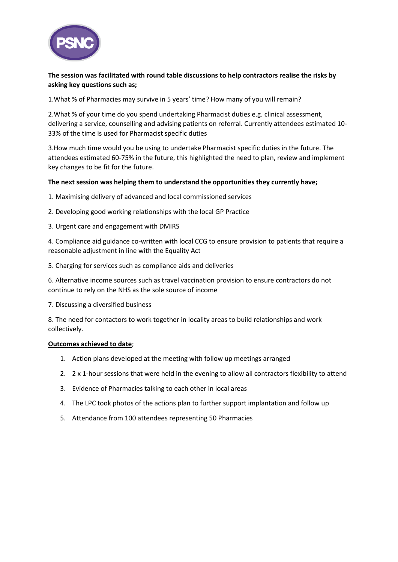

# **The session was facilitated with round table discussions to help contractors realise the risks by asking key questions such as;**

1.What % of Pharmacies may survive in 5 years' time? How many of you will remain?

2.What % of your time do you spend undertaking Pharmacist duties e.g. clinical assessment, delivering a service, counselling and advising patients on referral. Currently attendees estimated 10- 33% of the time is used for Pharmacist specific duties

3.How much time would you be using to undertake Pharmacist specific duties in the future. The attendees estimated 60-75% in the future, this highlighted the need to plan, review and implement key changes to be fit for the future.

### **The next session was helping them to understand the opportunities they currently have;**

1. Maximising delivery of advanced and local commissioned services

- 2. Developing good working relationships with the local GP Practice
- 3. Urgent care and engagement with DMIRS

4. Compliance aid guidance co-written with local CCG to ensure provision to patients that require a reasonable adjustment in line with the Equality Act

5. Charging for services such as compliance aids and deliveries

6. Alternative income sources such as travel vaccination provision to ensure contractors do not continue to rely on the NHS as the sole source of income

7. Discussing a diversified business

8. The need for contactors to work together in locality areas to build relationships and work collectively.

#### **Outcomes achieved to date**;

- 1. Action plans developed at the meeting with follow up meetings arranged
- 2. 2 x 1-hour sessions that were held in the evening to allow all contractors flexibility to attend
- 3. Evidence of Pharmacies talking to each other in local areas
- 4. The LPC took photos of the actions plan to further support implantation and follow up
- 5. Attendance from 100 attendees representing 50 Pharmacies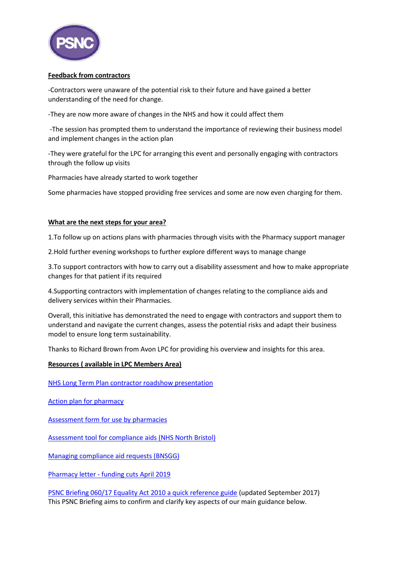

## **Feedback from contractors**

-Contractors were unaware of the potential risk to their future and have gained a better understanding of the need for change.

-They are now more aware of changes in the NHS and how it could affect them

-The session has prompted them to understand the importance of reviewing their business model and implement changes in the action plan

-They were grateful for the LPC for arranging this event and personally engaging with contractors through the follow up visits

Pharmacies have already started to work together

Some pharmacies have stopped providing free services and some are now even charging for them.

## **What are the next steps for your area?**

1.To follow up on actions plans with pharmacies through visits with the Pharmacy support manager

2.Hold further evening workshops to further explore different ways to manage change

3.To support contractors with how to carry out a disability assessment and how to make appropriate changes for that patient if its required

4.Supporting contractors with implementation of changes relating to the compliance aids and delivery services within their Pharmacies.

Overall, this initiative has demonstrated the need to engage with contractors and support them to understand and navigate the current changes, assess the potential risks and adapt their business model to ensure long term sustainability.

Thanks to Richard Brown from Avon LPC for providing his overview and insights for this area.

#### **Resources ( available in LPC Members Area)**

[NHS Long Term Plan contractor roadshow presentation](https://psnc.org.uk/wp-content/uploads/2019/04/NHS-Long-Term-Plan-contractor-roadshow-presentation.pptx)

[Action plan for pharmacy](https://psnc.org.uk/wp-content/uploads/2019/04/Action-plan-for-pharmacy.docx)

[Assessment form for use by pharmacies](https://psnc.org.uk/wp-content/uploads/2019/04/Assessment-form-for-use-by-pharmacies.doc)

[Assessment tool for compliance aids \(NHS North Bristol\)](https://psnc.org.uk/wp-content/uploads/2019/04/Assessment-tool-for-compliance-aids-NHS-North-Bristol.pdf)

[Managing compliance aid requests \(BNSGG\)](https://psnc.org.uk/wp-content/uploads/2019/04/Managing-compliance-aid-requests-BNSSG.pdf)

Pharmacy letter - [funding cuts April 2019](https://psnc.org.uk/wp-content/uploads/2019/04/Pharmacy-letter-Funding-cuts-April-2019.pdf)

[PSNC Briefing 060/17 Equality Act 2010 a quick reference guide](https://psnc.org.uk/contract-it/psnc-briefings-pharmacy-contract-and-it/psnc-briefing-06017-equality-act-2010-a-quick-reference-guide-august-2017/) (updated September 2017) This PSNC Briefing aims to confirm and clarify key aspects of our main guidance below.